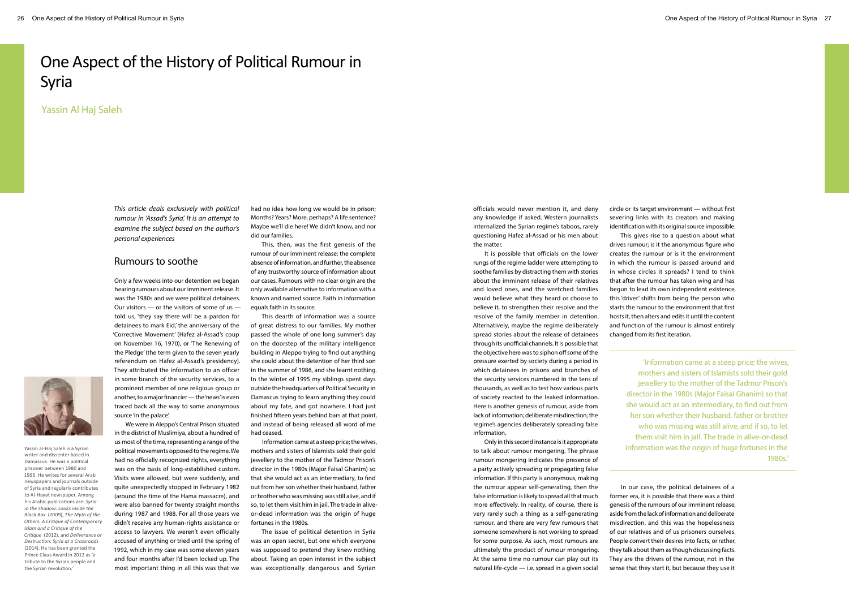# One Aspect of the History of Political Rumour in Syria

Yassin Al Haj Saleh

*This article deals exclusively with political rumour in 'Assad's Syria'. It is an attempt to examine the subject based on the author's personal experiences*

## Rumours to soothe

Only a few weeks into our detention we began hearing rumours about our imminent release. It was the 1980s and we were political detainees. Our visitors — or the visitors of some of us told us, 'they say there will be a pardon for detainees to mark Eid,' the anniversary of the 'Corrective Movement' (Hafez al-Assad's coup on November 16, 1970), or 'The Renewing of the Pledge' (the term given to the seven yearly referendum on Hafez al-Assad's presidency). They attributed the information to an officer in some branch of the security services, to a prominent member of one religious group or another, to a major financier — the 'news' is even traced back all the way to some anonymous source 'in the palace'.

We were in Aleppo's Central Prison situated in the district of Muslimiya, about a hundred of us most of the time, representing a range of the political movements opposed to the regime. We had no officially recognized rights, everything was on the basis of long-established custom. Visits were allowed, but were suddenly, and quite unexpectedly stopped in February 1982 (around the time of the Hama massacre), and were also banned for twenty straight months during 1987 and 1988. For all those years we didn't receive any human-rights assistance or access to lawyers. We weren't even officially accused of anything or tried until the spring of 1992, which in my case was some eleven years and four months after I'd been locked up. The most important thing in all this was that we had no idea how long we would be in prison; Months? Years? More, perhaps? A life sentence? Maybe we'll die here! We didn't know, and nor did our families.

This, then, was the first genesis of the rumour of our imminent release; the complete absence of information, and further, the absence of any trustworthy source of information about our cases. Rumours with no clear origin are the only available alternative to information with a known and named source. Faith in information equals faith in its source.

This dearth of information was a source of great distress to our families. My mother passed the whole of one long summer's day on the doorstep of the military intelligence building in Aleppo trying to find out anything she could about the detention of her third son in the summer of 1986, and she learnt nothing. In the winter of 1995 my siblings spent days outside the headquarters of Political Security in Damascus trying to learn anything they could about my fate, and got nowhere. I had just finished fifteen years behind bars at that point, and instead of being released all word of me had ceased.

Information came at a steep price; the wives, mothers and sisters of Islamists sold their gold jewellery to the mother of the Tadmor Prison's director in the 1980s (Major Faisal Ghanim) so that she would act as an intermediary, to find out from her son whether their husband, father or brother who was missing was still alive, and if so, to let them visit him in jail. The trade in aliveor-dead information was the origin of huge fortunes in the 1980s.

Yassin al-Haj Saleh is a Syrian writer and dissenter based in Damascus. He was a political prisoner between 1980 and 1996. He writes for several Arab newspapers and journals outside of Syria and regularly contributes to Al-Hayat newspaper. Among his Arabic publications are: *Syria in the Shadow: Looks inside the Black Box* (2009), *The Myth of the Others: A Critique of Contemporary Islam and a Critique of the Critique* (2012), and *Deliverance or Destruction: Syria at a Crossroads*  (2014). He has been granted the Prince Claus Award in 2012 as 'a tribute to the Syrian people and the Syrian revolution.

The issue of political detention in Syria was an open secret, but one which everyone was supposed to pretend they knew nothing about. Taking an open interest in the subject was exceptionally dangerous and Syrian officials would never mention it, and deny any knowledge if asked. Western journalists internalized the Syrian regime's taboos, rarely questioning Hafez al-Assad or his men about the matter.

It is possible that officials on the lower rungs of the regime ladder were attempting to soothe families by distracting them with stories about the imminent release of their relatives and loved ones, and the wretched families would believe what they heard or choose to believe it, to strengthen their resolve and the resolve of the family member in detention. Alternatively, maybe the regime deliberately spread stories about the release of detainees through its unofficial channels. It is possible that the objective here was to siphon off some of the pressure exerted by society during a period in which detainees in prisons and branches of the security services numbered in the tens of thousands, as well as to test how various parts of society reacted to the leaked information. Here is another genesis of rumour, aside from lack of information; deliberate misdirection; the regime's agencies deliberately spreading false information.

Only in this second instance is it appropriate to talk about rumour mongering. The phrase rumour mongering indicates the presence of a party actively spreading or propagating false information. If this party is anonymous, making the rumour appear self-generating, then the false information is likely to spread all that much more effectively. In reality, of course, there is very rarely such a thing as a self-generating rumour, and there are very few rumours that someone somewhere is not working to spread for some purpose. As such, most rumours are ultimately the product of rumour mongering. At the same time no rumour can play out its natural life-cycle — i.e. spread in a given social

circle or its target environment — without first severing links with its creators and making identification with its original source impossible. This gives rise to a question about what drives rumour; is it the anonymous figure who creates the rumour or is it the environment in which the rumour is passed around and in whose circles it spreads? I tend to think that after the rumour has taken wing and has begun to lead its own independent existence, this 'driver' shifts from being the person who starts the rumour to the environment that first hosts it, then alters and edits it until the content and function of the rumour is almost entirely changed from its first iteration.

In our case, the political detainees of a former era, it is possible that there was a third genesis of the rumours of our imminent release, aside from the lack of information and deliberate misdirection, and this was the hopelessness of our relatives and of us prisoners ourselves. People convert their desires into facts, or rather, they talk about them as though discussing facts. They are the drivers of the rumour, not in the sense that they start it, but because they use it



'Information came at a steep price; the wives, mothers and sisters of Islamists sold their gold jewellery to the mother of the Tadmor Prison's director in the 1980s (Major Faisal Ghanim) so that she would act as an intermediary, to find out from her son whether their husband, father or brother who was missing was still alive, and if so, to let them visit him in jail. The trade in alive-or-dead information was the origin of huge fortunes in the 1980s.'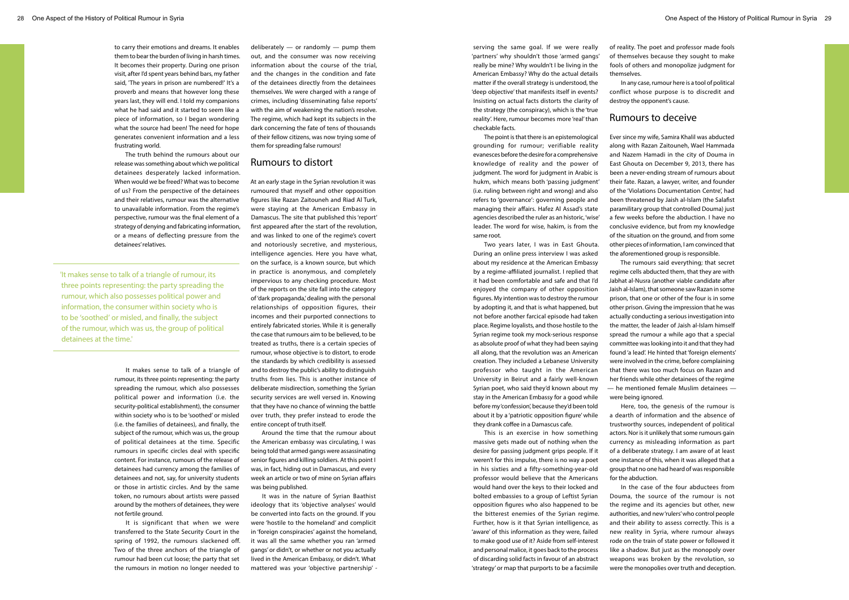to carry their emotions and dreams. It enables them to bear the burden of living in harsh times. It becomes their property. During one prison visit, after I'd spent years behind bars, my father said, 'The years in prison are numbered!' It's a proverb and means that however long these years last, they will end. I told my companions what he had said and it started to seem like a piece of information, so I began wondering what the source had been! The need for hope generates convenient information and a less frustrating world.

The truth behind the rumours about our release was something about which we political detainees desperately lacked information. When would we be freed? What was to become of us? From the perspective of the detainees and their relatives, rumour was the alternative to unavailable information. From the regime's perspective, rumour was the final element of a strategy of denying and fabricating information, or a means of deflecting pressure from the detainees' relatives.

It makes sense to talk of a triangle of rumour, its three points representing: the party spreading the rumour, which also possesses political power and information (i.e. the security-political establishment), the consumer within society who is to be 'soothed' or misled (i.e. the families of detainees), and finally, the subject of the rumour, which was us, the group of political detainees at the time. Specific rumours in specific circles deal with specific content. For instance, rumours of the release of detainees had currency among the families of detainees and not, say, for university students or those in artistic circles. And by the same token, no rumours about artists were passed around by the mothers of detainees, they were not fertile ground.

It is significant that when we were transferred to the State Security Court in the spring of 1992, the rumours slackened off. Two of the three anchors of the triangle of rumour had been cut loose; the party that set the rumours in motion no longer needed to deliberately — or randomly — pump them out, and the consumer was now receiving information about the course of the trial, and the changes in the condition and fate of the detainees directly from the detainees themselves. We were charged with a range of crimes, including 'disseminating false reports' with the aim of weakening the nation's resolve. The regime, which had kept its subjects in the dark concerning the fate of tens of thousands of their fellow citizens, was now trying some of them for spreading false rumours!

# Rumours to distort

At an early stage in the Syrian revolution it was rumoured that myself and other opposition figures like Razan Zaitouneh and Riad Al Turk, were staying at the American Embassy in Damascus. The site that published this 'report' first appeared after the start of the revolution, and was linked to one of the regime's covert and notoriously secretive, and mysterious, intelligence agencies. Here you have what, on the surface, is a known source, but which in practice is anonymous, and completely impervious to any checking procedure. Most of the reports on the site fall into the category of 'dark propaganda,' dealing with the personal relationships of opposition figures, their incomes and their purported connections to entirely fabricated stories. While it is generally the case that rumours aim to be believed, to be treated as truths, there is a certain species of rumour, whose objective is to distort, to erode the standards by which credibility is assessed and to destroy the public's ability to distinguish truths from lies. This is another instance of deliberate misdirection, something the Syrian security services are well versed in. Knowing that they have no chance of winning the battle over truth, they prefer instead to erode the entire concept of truth itself.

Around the time that the rumour about the American embassy was circulating, I was being told that armed gangs were assassinating senior figures and killing soldiers. At this point I was, in fact, hiding out in Damascus, and every week an article or two of mine on Syrian affairs was being published.

It was in the nature of Syrian Baathist ideology that its 'objective analyses' would be converted into facts on the ground. If you were 'hostile to the homeland' and complicit in 'foreign conspiracies' against the homeland, it was all the same whether you ran 'armed gangs' or didn't, or whether or not you actually lived in the American Embassy, or didn't. What mattered was your 'objective partnership' -

serving the same goal. If we were really 'partners' why shouldn't those 'armed gangs' really be mine? Why wouldn't I be living in the American Embassy? Why do the actual details matter if the overall strategy is understood, the 'deep objective' that manifests itself in events? Insisting on actual facts distorts the clarity of the strategy (the conspiracy), which is the 'true reality'. Here, rumour becomes more 'real' than checkable facts.

The point is that there is an epistemological grounding for rumour; verifiable reality evanesces before the desire for a comprehensive knowledge of reality and the power of judgment. The word for judgment in Arabic is hukm, which means both 'passing judgment' (i.e. ruling between right and wrong) and also refers to 'governance': governing people and managing their affairs. Hafez Al Assad's state agencies described the ruler as an historic, 'wise' leader. The word for wise, hakim, is from the same root.

Two years later, I was in East Ghouta. During an online press interview I was asked about my residence at the American Embassy by a regime-affiliated journalist. I replied that it had been comfortable and safe and that I'd enjoyed the company of other opposition figures. My intention was to destroy the rumour by adopting it, and that is what happened, but not before another farcical episode had taken place. Regime loyalists, and those hostile to the Syrian regime took my mock-serious response as absolute proof of what they had been saying all along, that the revolution was an American creation. They included a Lebanese University professor who taught in the American University in Beirut and a fairly well-known Syrian poet, who said they'd known about my stay in the American Embassy for a good while before my 'confession', because they'd been told about it by a 'patriotic opposition figure' while they drank coffee in a Damascus cafe.

This is an exercise in how something massive gets made out of nothing when the desire for passing judgment grips people. If it weren't for this impulse, there is no way a poet in his sixties and a fifty-something-year-old professor would believe that the Americans would hand over the keys to their locked and bolted embassies to a group of Leftist Syrian opposition figures who also happened to be the bitterest enemies of the Syrian regime. Further, how is it that Syrian intelligence, as 'aware' of this information as they were, failed to make good use of it? Aside from self-interest and personal malice, it goes back to the process of discarding solid facts in favour of an abstract 'strategy' or map that purports to be a facsimile of reality. The poet and professor made fools of themselves because they sought to make fools of others and monopolize judgment for

themselves.

In any case, rumour here is a tool of political conflict whose purpose is to discredit and destroy the opponent's cause.

#### Rumours to deceive

Ever since my wife, Samira Khalil was abducted along with Razan Zaitouneh, Wael Hammada and Nazem Hamadi in the city of Douma in East Ghouta on December 9, 2013, there has been a never-ending stream of rumours about their fate. Razan, a lawyer, writer, and founder of the 'Violations Documentation Centre', had been threatened by Jaish al-Islam (the Salafist paramilitary group that controlled Douma) just a few weeks before the abduction. I have no conclusive evidence, but from my knowledge of the situation on the ground, and from some other pieces of information, I am convinced that the aforementioned group is responsible.

The rumours said everything; that secret regime cells abducted them, that they are with Jabhat al-Nusra (another viable candidate after Jaish al-Islam), that someone saw Razan in some prison, that one or other of the four is in some other prison. Giving the impression that he was actually conducting a serious investigation into the matter, the leader of Jaish al-Islam himself spread the rumour a while ago that a special committee was looking into it and that they had found 'a lead'. He hinted that 'foreign elements' were involved in the crime, before complaining that there was too much focus on Razan and her friends while other detainees of the regime — he mentioned female Muslim detainees —

were being ignored.

Here, too, the genesis of the rumour is a dearth of information and the absence of trustworthy sources, independent of political actors. Nor is it unlikely that some rumours gain currency as misleading information as part of a deliberate strategy. I am aware of at least one instance of this, when it was alleged that a group that no one had heard of was responsible

for the abduction.

In the case of the four abductees from Douma, the source of the rumour is not the regime and its agencies but other, new authorities, and new 'rulers' who control people and their ability to assess correctly. This is a new reality in Syria, where rumour always rode on the train of state power or followed it like a shadow. But just as the monopoly over weapons was broken by the revolution, so were the monopolies over truth and deception.

'It makes sense to talk of a triangle of rumour, its three points representing: the party spreading the rumour, which also possesses political power and information, the consumer within society who is to be 'soothed' or misled, and finally, the subject of the rumour, which was us, the group of political detainees at the time.'